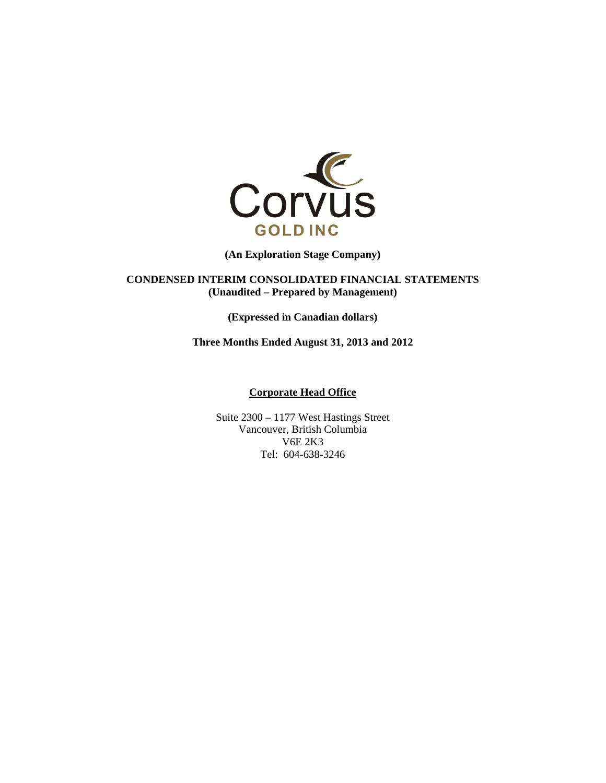

**(An Exploration Stage Company)** 

**CONDENSED INTERIM CONSOLIDATED FINANCIAL STATEMENTS (Unaudited – Prepared by Management)** 

**(Expressed in Canadian dollars)** 

**Three Months Ended August 31, 2013 and 2012** 

#### **Corporate Head Office**

Suite 2300 – 1177 West Hastings Street Vancouver, British Columbia V6E 2K3 Tel: 604-638-3246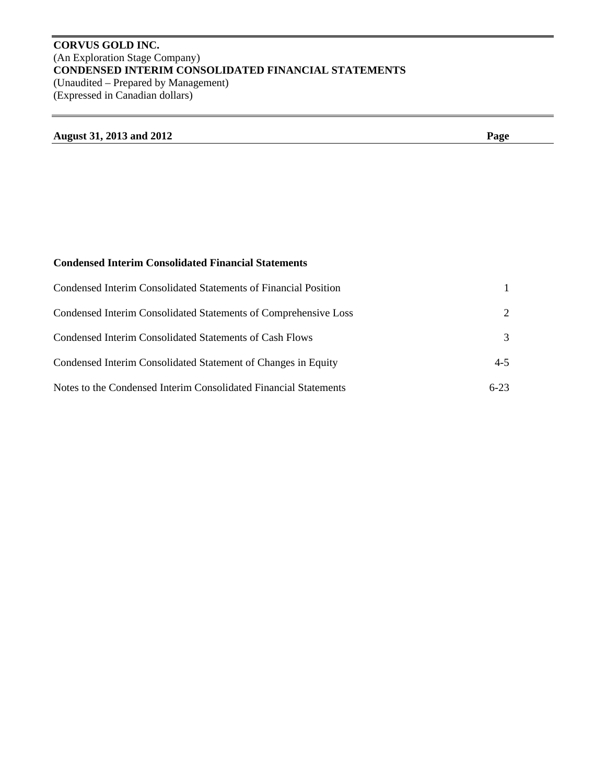# **CORVUS GOLD INC.**  (An Exploration Stage Company) **CONDENSED INTERIM CONSOLIDATED FINANCIAL STATEMENTS**  (Unaudited – Prepared by Management) (Expressed in Canadian dollars)

# **August 31, 2013 and 2012 Page**

# **Condensed Interim Consolidated Financial Statements**

| Condensed Interim Consolidated Statements of Financial Position  |                             |
|------------------------------------------------------------------|-----------------------------|
| Condensed Interim Consolidated Statements of Comprehensive Loss  | $\mathcal{D}_{\mathcal{L}}$ |
| Condensed Interim Consolidated Statements of Cash Flows          | 3                           |
| Condensed Interim Consolidated Statement of Changes in Equity    | $4 - 5$                     |
| Notes to the Condensed Interim Consolidated Financial Statements | $6 - 23$                    |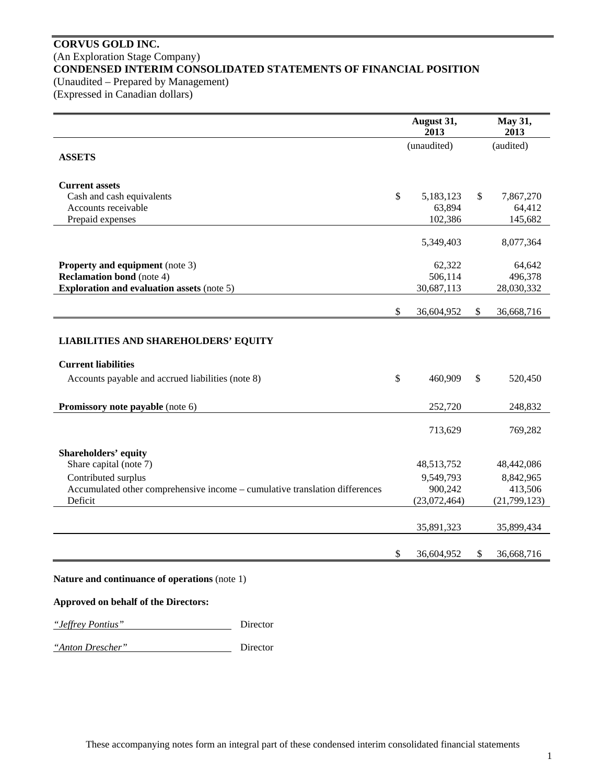# **CORVUS GOLD INC.**  (An Exploration Stage Company) **CONDENSED INTERIM CONSOLIDATED STATEMENTS OF FINANCIAL POSITION**  (Unaudited – Prepared by Management)

(Expressed in Canadian dollars)

|                                                                                                                                | August 31,<br>2013      |              | May 31,<br>2013           |
|--------------------------------------------------------------------------------------------------------------------------------|-------------------------|--------------|---------------------------|
| <b>ASSETS</b>                                                                                                                  | (unaudited)             |              | (audited)                 |
| <b>Current assets</b>                                                                                                          |                         |              |                           |
| Cash and cash equivalents                                                                                                      | \$<br>5,183,123         | $\mathbb{S}$ | 7,867,270                 |
| Accounts receivable                                                                                                            | 63,894                  |              | 64,412                    |
| Prepaid expenses                                                                                                               | 102,386                 |              | 145,682                   |
|                                                                                                                                | 5,349,403               |              | 8,077,364                 |
| <b>Property and equipment</b> (note 3)                                                                                         | 62,322                  |              | 64,642                    |
| <b>Reclamation bond</b> (note 4)                                                                                               | 506,114                 |              | 496,378                   |
| <b>Exploration and evaluation assets (note 5)</b>                                                                              | 30,687,113              |              | 28,030,332                |
|                                                                                                                                | \$<br>36,604,952        | \$           | 36,668,716                |
| <b>LIABILITIES AND SHAREHOLDERS' EQUITY</b><br><b>Current liabilities</b><br>Accounts payable and accrued liabilities (note 8) | \$<br>460,909           | \$           | 520,450                   |
| Promissory note payable (note 6)                                                                                               | 252,720                 |              | 248,832                   |
|                                                                                                                                | 713,629                 |              | 769,282                   |
| <b>Shareholders' equity</b>                                                                                                    |                         |              |                           |
| Share capital (note 7)                                                                                                         | 48,513,752              |              | 48,442,086                |
| Contributed surplus                                                                                                            | 9,549,793               |              | 8,842,965                 |
| Accumulated other comprehensive income - cumulative translation differences<br>Deficit                                         | 900,242<br>(23,072,464) |              | 413,506<br>(21, 799, 123) |
|                                                                                                                                |                         |              |                           |
|                                                                                                                                | 35,891,323              |              | 35,899,434                |
|                                                                                                                                | \$<br>36,604,952        | \$           | 36,668,716                |

# **Approved on behalf of the Directors:**

*"Jeffrey Pontius"* Director

*"Anton Drescher"* Director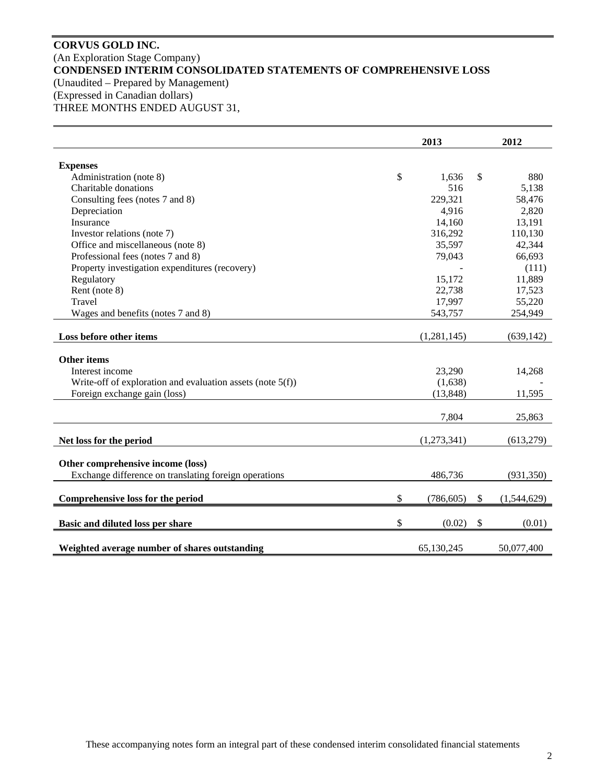# **CORVUS GOLD INC.**  (An Exploration Stage Company) **CONDENSED INTERIM CONSOLIDATED STATEMENTS OF COMPREHENSIVE LOSS**  (Unaudited – Prepared by Management) (Expressed in Canadian dollars) THREE MONTHS ENDED AUGUST 31,

|                                                               | 2013             | 2012              |
|---------------------------------------------------------------|------------------|-------------------|
| <b>Expenses</b>                                               |                  |                   |
| Administration (note 8)                                       | \$<br>1,636      | \$<br>880         |
| Charitable donations                                          | 516              | 5,138             |
| Consulting fees (notes 7 and 8)                               | 229,321          | 58,476            |
| Depreciation                                                  | 4,916            | 2,820             |
| Insurance                                                     | 14,160           | 13,191            |
| Investor relations (note 7)                                   | 316,292          | 110,130           |
| Office and miscellaneous (note 8)                             | 35,597           | 42,344            |
| Professional fees (notes 7 and 8)                             | 79,043           | 66,693            |
| Property investigation expenditures (recovery)                |                  | (111)             |
| Regulatory                                                    | 15,172           | 11,889            |
| Rent (note 8)                                                 | 22,738           | 17,523            |
| Travel                                                        | 17,997           | 55,220            |
| Wages and benefits (notes 7 and 8)                            | 543,757          | 254,949           |
| Loss before other items                                       | (1,281,145)      | (639, 142)        |
| <b>Other items</b>                                            |                  |                   |
| Interest income                                               | 23,290           | 14,268            |
| Write-off of exploration and evaluation assets (note $5(f)$ ) | (1,638)          |                   |
| Foreign exchange gain (loss)                                  | (13, 848)        | 11,595            |
|                                                               |                  |                   |
|                                                               | 7,804            | 25,863            |
| Net loss for the period                                       | (1,273,341)      | (613, 279)        |
|                                                               |                  |                   |
| Other comprehensive income (loss)                             |                  |                   |
| Exchange difference on translating foreign operations         | 486,736          | (931, 350)        |
|                                                               |                  |                   |
| Comprehensive loss for the period                             | \$<br>(786, 605) | \$<br>(1,544,629) |
| Basic and diluted loss per share                              | \$<br>(0.02)     | \$<br>(0.01)      |
| Weighted average number of shares outstanding                 | 65,130,245       | 50,077,400        |
|                                                               |                  |                   |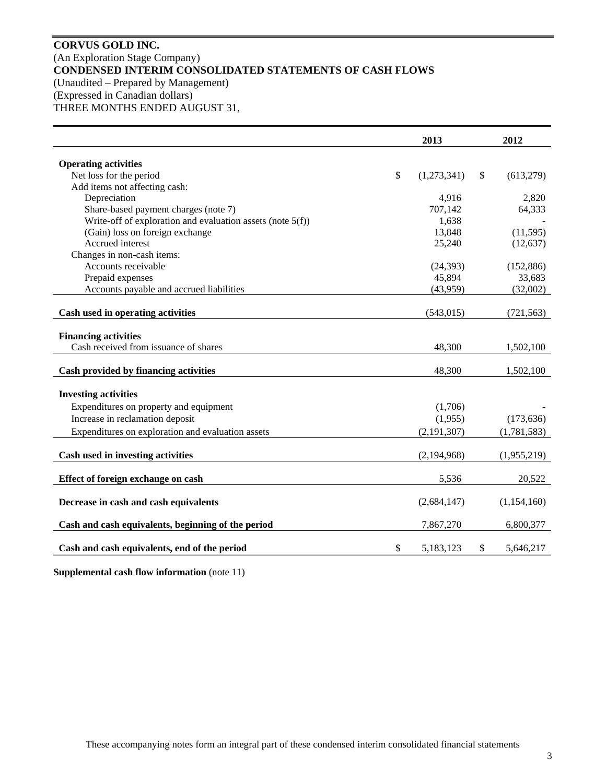# **CORVUS GOLD INC.**  (An Exploration Stage Company) **CONDENSED INTERIM CONSOLIDATED STATEMENTS OF CASH FLOWS**  (Unaudited – Prepared by Management) (Expressed in Canadian dollars) THREE MONTHS ENDED AUGUST 31,

|                                                               | 2013              | 2012            |
|---------------------------------------------------------------|-------------------|-----------------|
| <b>Operating activities</b>                                   |                   |                 |
| Net loss for the period                                       | \$<br>(1,273,341) | \$<br>(613,279) |
| Add items not affecting cash:                                 |                   |                 |
| Depreciation                                                  | 4,916             | 2,820           |
| Share-based payment charges (note 7)                          | 707,142           | 64,333          |
| Write-off of exploration and evaluation assets (note $5(f)$ ) | 1,638             |                 |
| (Gain) loss on foreign exchange                               | 13,848            | (11, 595)       |
| Accrued interest                                              | 25,240            | (12, 637)       |
| Changes in non-cash items:                                    |                   |                 |
| Accounts receivable                                           | (24, 393)         | (152, 886)      |
| Prepaid expenses                                              | 45,894            | 33,683          |
| Accounts payable and accrued liabilities                      | (43,959)          | (32,002)        |
|                                                               |                   |                 |
| Cash used in operating activities                             | (543, 015)        | (721, 563)      |
| <b>Financing activities</b>                                   |                   |                 |
| Cash received from issuance of shares                         | 48,300            | 1,502,100       |
|                                                               |                   |                 |
| Cash provided by financing activities                         | 48,300            | 1,502,100       |
| <b>Investing activities</b>                                   |                   |                 |
| Expenditures on property and equipment                        | (1,706)           |                 |
|                                                               |                   |                 |
| Increase in reclamation deposit                               | (1,955)           | (173, 636)      |
| Expenditures on exploration and evaluation assets             | (2, 191, 307)     | (1,781,583)     |
| Cash used in investing activities                             | (2,194,968)       | (1,955,219)     |
|                                                               |                   |                 |
| Effect of foreign exchange on cash                            | 5,536             | 20,522          |
| Decrease in cash and cash equivalents                         | (2,684,147)       | (1,154,160)     |
| Cash and cash equivalents, beginning of the period            | 7,867,270         | 6,800,377       |
| Cash and cash equivalents, end of the period                  | \$<br>5,183,123   | \$<br>5,646,217 |

**Supplemental cash flow information** (note 11)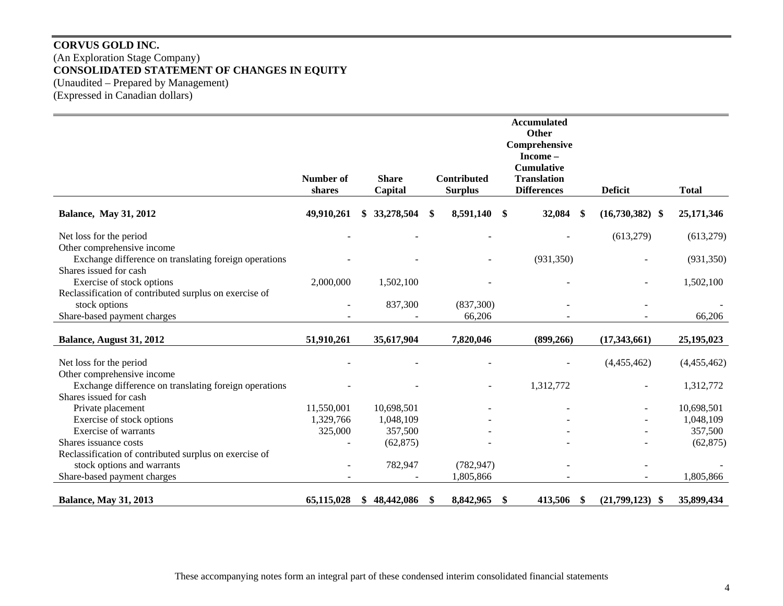# **CORVUS GOLD INC.**  (An Exploration Stage Company) **CONSOLIDATED STATEMENT OF CHANGES IN EQUITY**  (Unaudited – Prepared by Management) (Expressed in Canadian dollars)

|                                                                                     |            |                  |    |                    | <b>Accumulated</b><br>Other |                         |              |
|-------------------------------------------------------------------------------------|------------|------------------|----|--------------------|-----------------------------|-------------------------|--------------|
|                                                                                     |            |                  |    |                    | Comprehensive               |                         |              |
|                                                                                     |            |                  |    |                    | Income-                     |                         |              |
|                                                                                     |            |                  |    |                    | <b>Cumulative</b>           |                         |              |
|                                                                                     | Number of  | <b>Share</b>     |    | <b>Contributed</b> | <b>Translation</b>          |                         |              |
|                                                                                     | shares     | Capital          |    | <b>Surplus</b>     | <b>Differences</b>          | <b>Deficit</b>          | <b>Total</b> |
| <b>Balance, May 31, 2012</b>                                                        | 49,910,261 | 33,278,504<br>\$ | \$ | 8,591,140          | \$<br>32,084                | \$<br>$(16,730,382)$ \$ | 25,171,346   |
| Net loss for the period                                                             |            |                  |    |                    |                             | (613,279)               | (613,279)    |
| Other comprehensive income                                                          |            |                  |    |                    |                             |                         |              |
| Exchange difference on translating foreign operations                               |            |                  |    |                    | (931, 350)                  |                         | (931, 350)   |
| Shares issued for cash                                                              |            |                  |    |                    |                             |                         |              |
| Exercise of stock options                                                           | 2,000,000  | 1,502,100        |    |                    |                             |                         | 1,502,100    |
| Reclassification of contributed surplus on exercise of                              |            |                  |    |                    |                             |                         |              |
| stock options                                                                       |            | 837,300          |    | (837,300)          |                             |                         |              |
| Share-based payment charges                                                         |            |                  |    | 66,206             |                             |                         | 66,206       |
| Balance, August 31, 2012                                                            | 51,910,261 | 35,617,904       |    | 7,820,046          | (899, 266)                  | (17,343,661)            | 25,195,023   |
|                                                                                     |            |                  |    |                    |                             |                         |              |
| Net loss for the period                                                             |            |                  |    |                    |                             | (4,455,462)             | (4,455,462)  |
| Other comprehensive income<br>Exchange difference on translating foreign operations |            |                  |    |                    | 1,312,772                   |                         | 1,312,772    |
| Shares issued for cash                                                              |            |                  |    |                    |                             |                         |              |
| Private placement                                                                   | 11,550,001 | 10,698,501       |    |                    |                             |                         | 10,698,501   |
| Exercise of stock options                                                           | 1,329,766  | 1,048,109        |    |                    |                             |                         | 1,048,109    |
| Exercise of warrants                                                                | 325,000    | 357,500          |    |                    |                             |                         | 357,500      |
| Shares issuance costs                                                               |            | (62, 875)        |    |                    |                             |                         | (62, 875)    |
| Reclassification of contributed surplus on exercise of                              |            |                  |    |                    |                             |                         |              |
| stock options and warrants                                                          |            | 782,947          |    | (782, 947)         |                             |                         |              |
| Share-based payment charges                                                         |            |                  |    | 1,805,866          |                             |                         | 1,805,866    |
| <b>Balance, May 31, 2013</b>                                                        | 65,115,028 | 48,442,086<br>\$ |    | 8,842,965          | \$<br>413,506               | \$<br>$(21,799,123)$ \$ | 35,899,434   |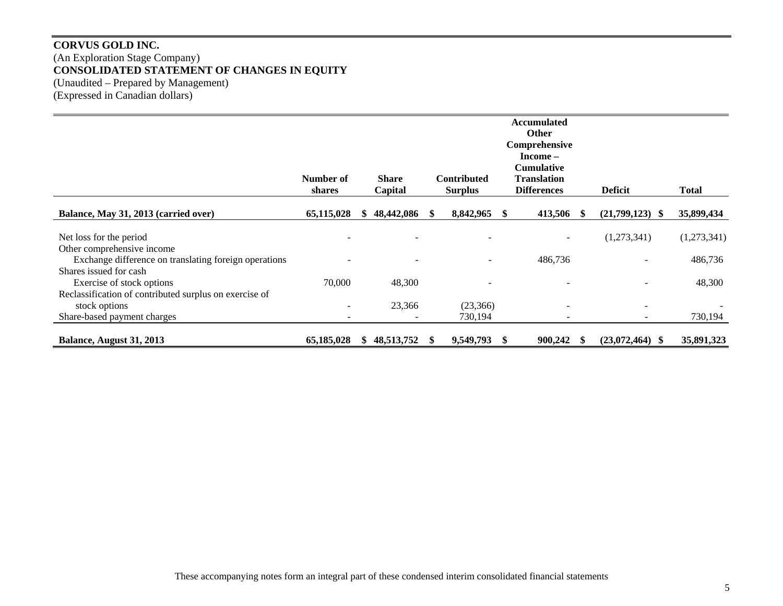# **CORVUS GOLD INC.**  (An Exploration Stage Company) **CONSOLIDATED STATEMENT OF CHANGES IN EQUITY**  (Unaudited – Prepared by Management) (Expressed in Canadian dollars)

|                                                        |            |                          |                    |   | <b>Accumulated</b> |                          |              |
|--------------------------------------------------------|------------|--------------------------|--------------------|---|--------------------|--------------------------|--------------|
|                                                        |            |                          |                    |   | <b>Other</b>       |                          |              |
|                                                        |            |                          |                    |   | Comprehensive      |                          |              |
|                                                        |            |                          |                    |   | Income –           |                          |              |
|                                                        |            |                          |                    |   | <b>Cumulative</b>  |                          |              |
|                                                        | Number of  | <b>Share</b>             | <b>Contributed</b> |   | <b>Translation</b> |                          |              |
|                                                        | shares     | Capital                  | <b>Surplus</b>     |   | <b>Differences</b> | <b>Deficit</b>           | <b>Total</b> |
| Balance, May 31, 2013 (carried over)                   | 65,115,028 | 48,442,086               | 8,842,965          | S | 413,506            | $(21,799,123)$ \$        | 35,899,434   |
|                                                        |            |                          |                    |   |                    |                          |              |
| Net loss for the period                                |            |                          |                    |   |                    | (1,273,341)              | (1,273,341)  |
| Other comprehensive income                             |            |                          |                    |   |                    |                          |              |
| Exchange difference on translating foreign operations  |            |                          |                    |   | 486,736            |                          | 486,736      |
| Shares issued for cash                                 |            |                          |                    |   |                    |                          |              |
| Exercise of stock options                              | 70,000     | 48,300                   |                    |   |                    |                          | 48,300       |
| Reclassification of contributed surplus on exercise of |            |                          |                    |   |                    |                          |              |
| stock options                                          |            | 23,366                   | (23,366)           |   |                    |                          |              |
| Share-based payment charges                            |            | $\overline{\phantom{0}}$ | 730,194            |   | ۰                  | $\overline{\phantom{a}}$ | 730,194      |
|                                                        |            |                          |                    |   |                    |                          |              |
| Balance, August 31, 2013                               | 65,185,028 | 48,513,752               | 9,549,793          |   | 900,242            | (23,072,464)             | 35,891,323   |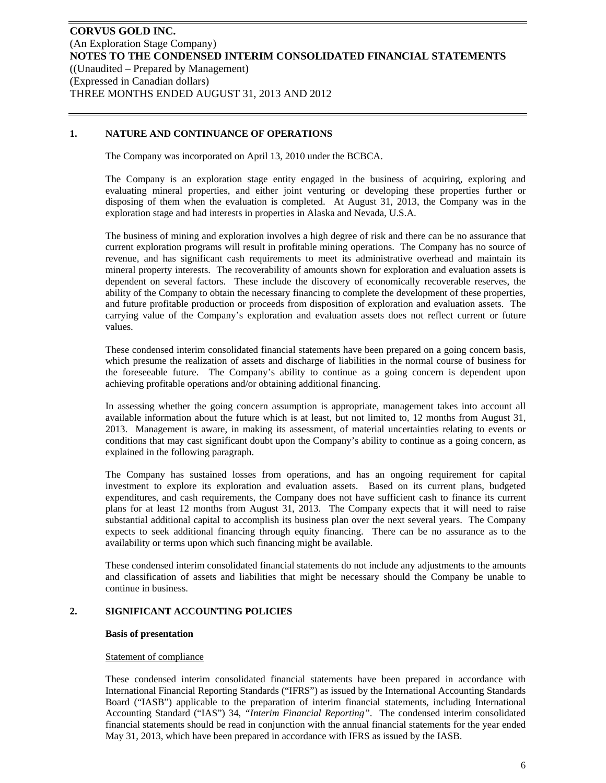### **1. NATURE AND CONTINUANCE OF OPERATIONS**

The Company was incorporated on April 13, 2010 under the BCBCA.

The Company is an exploration stage entity engaged in the business of acquiring, exploring and evaluating mineral properties, and either joint venturing or developing these properties further or disposing of them when the evaluation is completed. At August 31, 2013, the Company was in the exploration stage and had interests in properties in Alaska and Nevada, U.S.A.

The business of mining and exploration involves a high degree of risk and there can be no assurance that current exploration programs will result in profitable mining operations. The Company has no source of revenue, and has significant cash requirements to meet its administrative overhead and maintain its mineral property interests. The recoverability of amounts shown for exploration and evaluation assets is dependent on several factors. These include the discovery of economically recoverable reserves, the ability of the Company to obtain the necessary financing to complete the development of these properties, and future profitable production or proceeds from disposition of exploration and evaluation assets. The carrying value of the Company's exploration and evaluation assets does not reflect current or future values.

These condensed interim consolidated financial statements have been prepared on a going concern basis, which presume the realization of assets and discharge of liabilities in the normal course of business for the foreseeable future. The Company's ability to continue as a going concern is dependent upon achieving profitable operations and/or obtaining additional financing.

In assessing whether the going concern assumption is appropriate, management takes into account all available information about the future which is at least, but not limited to, 12 months from August 31, 2013. Management is aware, in making its assessment, of material uncertainties relating to events or conditions that may cast significant doubt upon the Company's ability to continue as a going concern, as explained in the following paragraph.

The Company has sustained losses from operations, and has an ongoing requirement for capital investment to explore its exploration and evaluation assets. Based on its current plans, budgeted expenditures, and cash requirements, the Company does not have sufficient cash to finance its current plans for at least 12 months from August 31, 2013. The Company expects that it will need to raise substantial additional capital to accomplish its business plan over the next several years. The Company expects to seek additional financing through equity financing. There can be no assurance as to the availability or terms upon which such financing might be available.

These condensed interim consolidated financial statements do not include any adjustments to the amounts and classification of assets and liabilities that might be necessary should the Company be unable to continue in business.

#### **2. SIGNIFICANT ACCOUNTING POLICIES**

#### **Basis of presentation**

#### Statement of compliance

These condensed interim consolidated financial statements have been prepared in accordance with International Financial Reporting Standards ("IFRS") as issued by the International Accounting Standards Board ("IASB") applicable to the preparation of interim financial statements, including International Accounting Standard ("IAS") 34, *"Interim Financial Reporting"*. The condensed interim consolidated financial statements should be read in conjunction with the annual financial statements for the year ended May 31, 2013, which have been prepared in accordance with IFRS as issued by the IASB.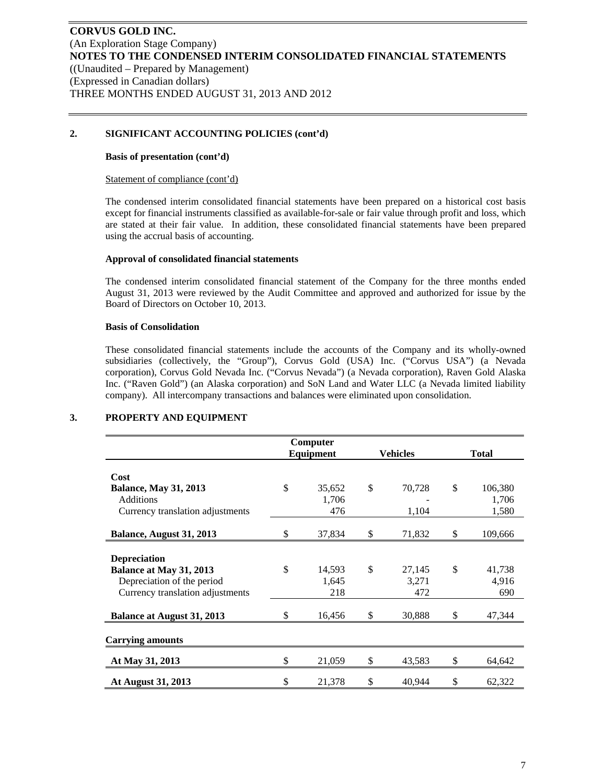### **2. SIGNIFICANT ACCOUNTING POLICIES (cont'd)**

#### **Basis of presentation (cont'd)**

#### Statement of compliance (cont'd)

The condensed interim consolidated financial statements have been prepared on a historical cost basis except for financial instruments classified as available-for-sale or fair value through profit and loss, which are stated at their fair value. In addition, these consolidated financial statements have been prepared using the accrual basis of accounting.

#### **Approval of consolidated financial statements**

The condensed interim consolidated financial statement of the Company for the three months ended August 31, 2013 were reviewed by the Audit Committee and approved and authorized for issue by the Board of Directors on October 10, 2013.

#### **Basis of Consolidation**

These consolidated financial statements include the accounts of the Company and its wholly-owned subsidiaries (collectively, the "Group"), Corvus Gold (USA) Inc. ("Corvus USA") (a Nevada corporation), Corvus Gold Nevada Inc. ("Corvus Nevada") (a Nevada corporation), Raven Gold Alaska Inc. ("Raven Gold") (an Alaska corporation) and SoN Land and Water LLC (a Nevada limited liability company). All intercompany transactions and balances were eliminated upon consolidation.

|                                           |               | Computer        |                 |    |                  |
|-------------------------------------------|---------------|-----------------|-----------------|----|------------------|
|                                           |               | Equipment       | <b>Vehicles</b> |    | <b>Total</b>     |
| Cost                                      |               |                 |                 |    |                  |
| <b>Balance, May 31, 2013</b><br>Additions | \$            | 35,652<br>1,706 | \$<br>70,728    | \$ | 106,380<br>1,706 |
| Currency translation adjustments          |               | 476             | 1,104           |    | 1,580            |
| Balance, August 31, 2013                  | \$            | 37,834          | \$<br>71,832    | \$ | 109,666          |
| <b>Depreciation</b>                       |               |                 |                 |    |                  |
| Balance at May 31, 2013                   | $\mathcal{S}$ | 14,593          | \$<br>27,145    | \$ | 41,738           |
| Depreciation of the period                |               | 1,645           | 3,271           |    | 4,916            |
| Currency translation adjustments          |               | 218             | 472             |    | 690              |
| <b>Balance at August 31, 2013</b>         | \$            | 16,456          | \$<br>30,888    | \$ | 47,344           |
| <b>Carrying amounts</b>                   |               |                 |                 |    |                  |
| At May 31, 2013                           |               | 21,059          | \$<br>43,583    | S  | 64,642           |
| At August 31, 2013                        | \$            | 21,378          | \$<br>40,944    | \$ | 62,322           |

#### **3. PROPERTY AND EQUIPMENT**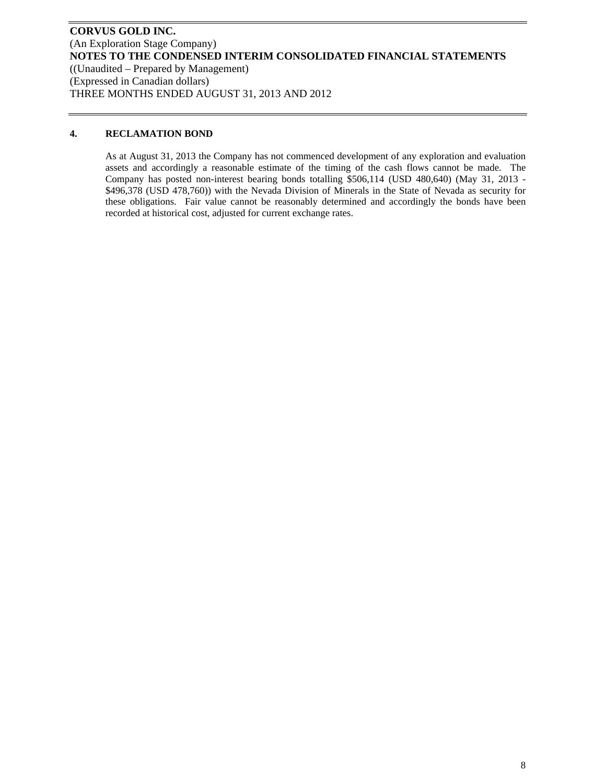### **4. RECLAMATION BOND**

As at August 31, 2013 the Company has not commenced development of any exploration and evaluation assets and accordingly a reasonable estimate of the timing of the cash flows cannot be made. The Company has posted non-interest bearing bonds totalling \$506,114 (USD 480,640) (May 31, 2013 - \$496,378 (USD 478,760)) with the Nevada Division of Minerals in the State of Nevada as security for these obligations. Fair value cannot be reasonably determined and accordingly the bonds have been recorded at historical cost, adjusted for current exchange rates.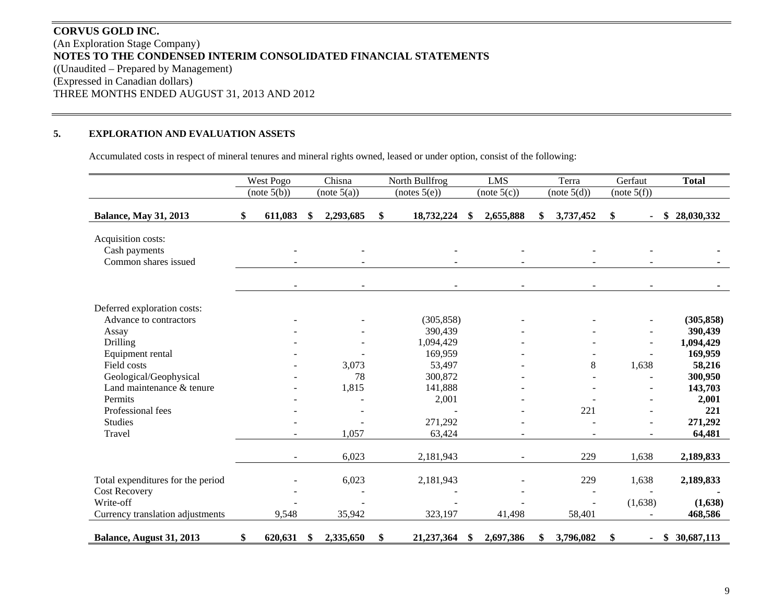# **CORVUS GOLD INC.** (An Exploration Stage Company) **NOTES TO THE CONDENSED INTERIM CONSOLIDATED FINANCIAL STATEMENTS**  ((Unaudited – Prepared by Management) (Expressed in Canadian dollars) THREE MONTHS ENDED AUGUST 31, 2013 AND 2012

#### **5.EXPLORATION AND EVALUATION ASSETS**

Accumulated costs in respect of mineral tenures and mineral rights owned, leased or under option, consist of the following:

|                                                             | West Pogo                    | Chisna          | North Bullfrog    |    | <b>LMS</b>               |    | Terra       | Gerfaut     |                          | <b>Total</b>       |
|-------------------------------------------------------------|------------------------------|-----------------|-------------------|----|--------------------------|----|-------------|-------------|--------------------------|--------------------|
|                                                             | (note 5(b))                  | (note 5(a))     | (notes 5(e))      |    | (note 5(c))              |    | (note 5(d)) | (note 5(f)) |                          |                    |
| <b>Balance, May 31, 2013</b>                                | \$<br>611,083                | \$<br>2,293,685 | \$<br>18,732,224  | S. | 2,655,888                | S. | 3,737,452   | \$          |                          | 28,030,332<br>\$   |
| Acquisition costs:<br>Cash payments<br>Common shares issued |                              |                 |                   |    | $\overline{\phantom{a}}$ |    |             |             | $\overline{\phantom{a}}$ |                    |
|                                                             | $\qquad \qquad \blacksquare$ |                 |                   |    | $\overline{\phantom{a}}$ |    |             |             |                          |                    |
| Deferred exploration costs:                                 |                              |                 |                   |    |                          |    |             |             |                          |                    |
| Advance to contractors                                      |                              |                 | (305, 858)        |    |                          |    |             |             |                          | (305, 858)         |
| Assay                                                       |                              |                 | 390,439           |    |                          |    |             |             |                          | 390,439            |
| Drilling                                                    |                              |                 | 1,094,429         |    |                          |    |             |             |                          | 1,094,429          |
| Equipment rental<br>Field costs                             |                              | 3,073           | 169,959<br>53,497 |    |                          |    | 8           | 1,638       |                          | 169,959            |
| Geological/Geophysical                                      |                              | 78              | 300,872           |    |                          |    |             |             |                          | 58,216<br>300,950  |
| Land maintenance & tenure                                   |                              | 1,815           | 141,888           |    |                          |    |             |             |                          | 143,703            |
| Permits                                                     |                              |                 | 2,001             |    |                          |    |             |             |                          | 2,001              |
| Professional fees                                           |                              |                 |                   |    |                          |    | 221         |             |                          | 221                |
| <b>Studies</b>                                              |                              |                 | 271,292           |    |                          |    |             |             |                          | 271,292            |
| Travel                                                      |                              | 1,057           | 63,424            |    |                          |    |             |             |                          | 64,481             |
|                                                             | $\sim$                       | 6,023           | 2,181,943         |    |                          |    | 229         | 1,638       |                          | 2,189,833          |
| Total expenditures for the period                           |                              | 6,023           | 2,181,943         |    |                          |    | 229         | 1,638       |                          | 2,189,833          |
| <b>Cost Recovery</b><br>Write-off                           |                              |                 |                   |    |                          |    |             |             |                          |                    |
| Currency translation adjustments                            | 9,548                        | 35,942          | 323,197           |    | 41,498                   |    | 58,401      | (1,638)     |                          | (1,638)<br>468,586 |
| Balance, August 31, 2013                                    | \$<br>620,631                | \$<br>2,335,650 | \$<br>21,237,364  | S  | 2,697,386                | \$ | 3,796,082   | \$          | ٠                        | \$30,687,113       |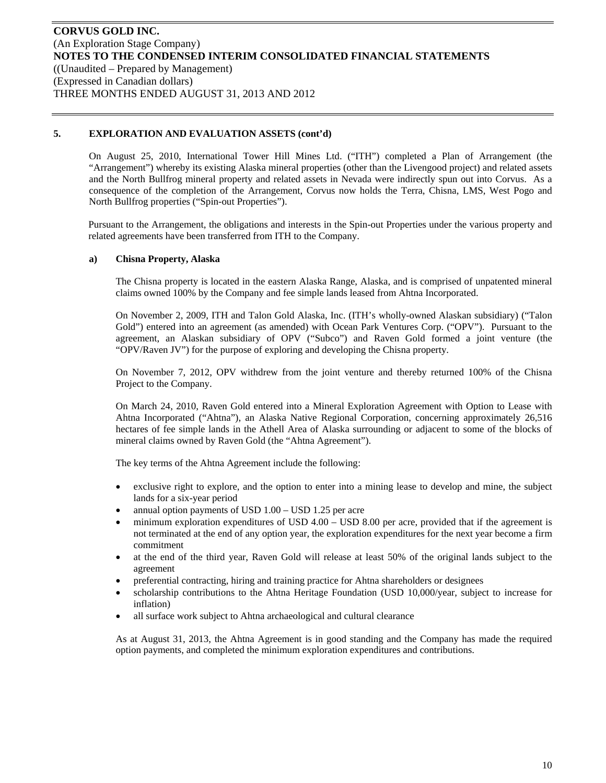On August 25, 2010, International Tower Hill Mines Ltd. ("ITH") completed a Plan of Arrangement (the "Arrangement") whereby its existing Alaska mineral properties (other than the Livengood project) and related assets and the North Bullfrog mineral property and related assets in Nevada were indirectly spun out into Corvus. As a consequence of the completion of the Arrangement, Corvus now holds the Terra, Chisna, LMS, West Pogo and North Bullfrog properties ("Spin-out Properties").

Pursuant to the Arrangement, the obligations and interests in the Spin-out Properties under the various property and related agreements have been transferred from ITH to the Company.

#### **a) Chisna Property, Alaska**

The Chisna property is located in the eastern Alaska Range, Alaska, and is comprised of unpatented mineral claims owned 100% by the Company and fee simple lands leased from Ahtna Incorporated.

On November 2, 2009, ITH and Talon Gold Alaska, Inc. (ITH's wholly-owned Alaskan subsidiary) ("Talon Gold") entered into an agreement (as amended) with Ocean Park Ventures Corp. ("OPV"). Pursuant to the agreement, an Alaskan subsidiary of OPV ("Subco") and Raven Gold formed a joint venture (the "OPV/Raven JV") for the purpose of exploring and developing the Chisna property.

On November 7, 2012, OPV withdrew from the joint venture and thereby returned 100% of the Chisna Project to the Company.

On March 24, 2010, Raven Gold entered into a Mineral Exploration Agreement with Option to Lease with Ahtna Incorporated ("Ahtna"), an Alaska Native Regional Corporation, concerning approximately 26,516 hectares of fee simple lands in the Athell Area of Alaska surrounding or adjacent to some of the blocks of mineral claims owned by Raven Gold (the "Ahtna Agreement").

The key terms of the Ahtna Agreement include the following:

- exclusive right to explore, and the option to enter into a mining lease to develop and mine, the subject lands for a six-year period
- annual option payments of USD 1.00 USD 1.25 per acre
- minimum exploration expenditures of USD 4.00 USD 8.00 per acre, provided that if the agreement is not terminated at the end of any option year, the exploration expenditures for the next year become a firm commitment
- at the end of the third year, Raven Gold will release at least 50% of the original lands subject to the agreement
- preferential contracting, hiring and training practice for Ahtna shareholders or designees
- scholarship contributions to the Ahtna Heritage Foundation (USD 10,000/year, subject to increase for inflation)
- all surface work subject to Ahtna archaeological and cultural clearance

As at August 31, 2013, the Ahtna Agreement is in good standing and the Company has made the required option payments, and completed the minimum exploration expenditures and contributions.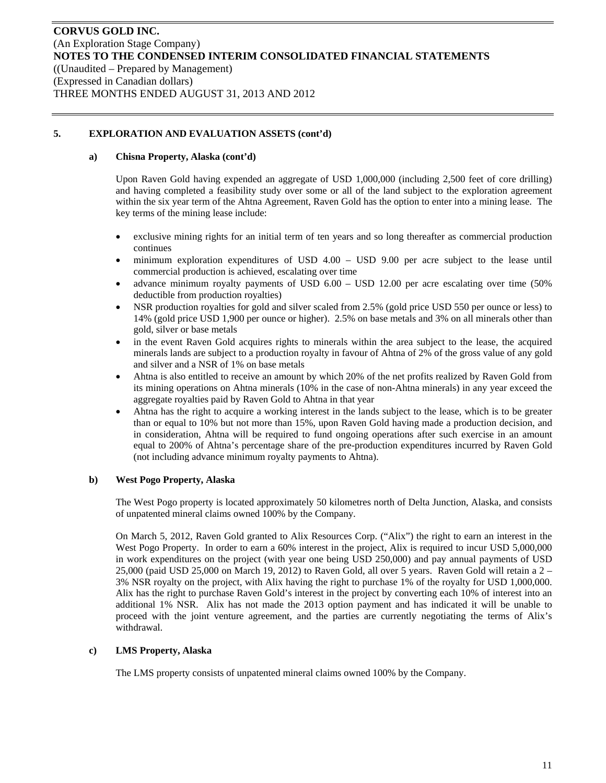#### **a) Chisna Property, Alaska (cont'd)**

Upon Raven Gold having expended an aggregate of USD 1,000,000 (including 2,500 feet of core drilling) and having completed a feasibility study over some or all of the land subject to the exploration agreement within the six year term of the Ahtna Agreement, Raven Gold has the option to enter into a mining lease. The key terms of the mining lease include:

- exclusive mining rights for an initial term of ten years and so long thereafter as commercial production continues
- minimum exploration expenditures of USD 4.00 USD 9.00 per acre subject to the lease until commercial production is achieved, escalating over time
- advance minimum royalty payments of USD 6.00 USD 12.00 per acre escalating over time (50% deductible from production royalties)
- NSR production royalties for gold and silver scaled from 2.5% (gold price USD 550 per ounce or less) to 14% (gold price USD 1,900 per ounce or higher). 2.5% on base metals and 3% on all minerals other than gold, silver or base metals
- in the event Raven Gold acquires rights to minerals within the area subject to the lease, the acquired minerals lands are subject to a production royalty in favour of Ahtna of 2% of the gross value of any gold and silver and a NSR of 1% on base metals
- Ahtna is also entitled to receive an amount by which 20% of the net profits realized by Raven Gold from its mining operations on Ahtna minerals (10% in the case of non-Ahtna minerals) in any year exceed the aggregate royalties paid by Raven Gold to Ahtna in that year
- Ahtna has the right to acquire a working interest in the lands subject to the lease, which is to be greater than or equal to 10% but not more than 15%, upon Raven Gold having made a production decision, and in consideration, Ahtna will be required to fund ongoing operations after such exercise in an amount equal to 200% of Ahtna's percentage share of the pre-production expenditures incurred by Raven Gold (not including advance minimum royalty payments to Ahtna).

#### **b) West Pogo Property, Alaska**

The West Pogo property is located approximately 50 kilometres north of Delta Junction, Alaska, and consists of unpatented mineral claims owned 100% by the Company.

On March 5, 2012, Raven Gold granted to Alix Resources Corp. ("Alix") the right to earn an interest in the West Pogo Property. In order to earn a 60% interest in the project, Alix is required to incur USD 5,000,000 in work expenditures on the project (with year one being USD 250,000) and pay annual payments of USD 25,000 (paid USD 25,000 on March 19, 2012) to Raven Gold, all over 5 years. Raven Gold will retain a 2 – 3% NSR royalty on the project, with Alix having the right to purchase 1% of the royalty for USD 1,000,000. Alix has the right to purchase Raven Gold's interest in the project by converting each 10% of interest into an additional 1% NSR. Alix has not made the 2013 option payment and has indicated it will be unable to proceed with the joint venture agreement, and the parties are currently negotiating the terms of Alix's withdrawal.

#### **c) LMS Property, Alaska**

The LMS property consists of unpatented mineral claims owned 100% by the Company.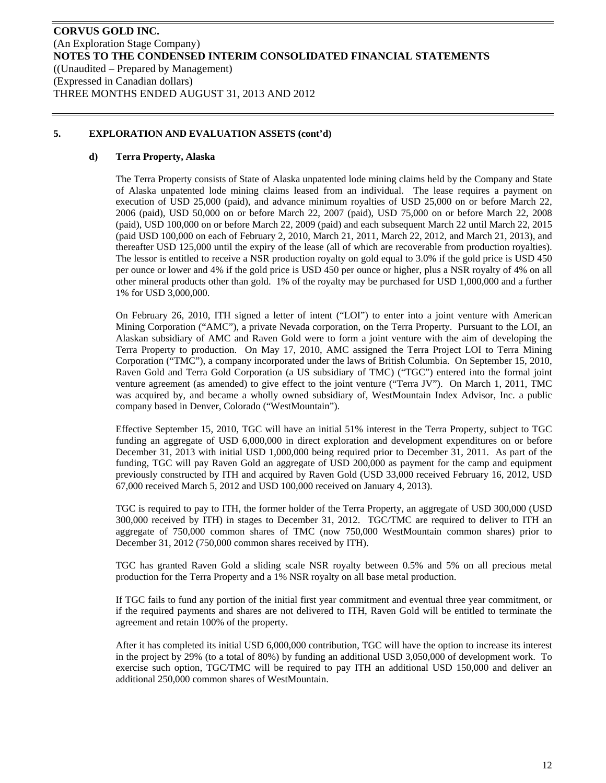#### **d) Terra Property, Alaska**

The Terra Property consists of State of Alaska unpatented lode mining claims held by the Company and State of Alaska unpatented lode mining claims leased from an individual. The lease requires a payment on execution of USD 25,000 (paid), and advance minimum royalties of USD 25,000 on or before March 22, 2006 (paid), USD 50,000 on or before March 22, 2007 (paid), USD 75,000 on or before March 22, 2008 (paid), USD 100,000 on or before March 22, 2009 (paid) and each subsequent March 22 until March 22, 2015 (paid USD 100,000 on each of February 2, 2010, March 21, 2011, March 22, 2012, and March 21, 2013), and thereafter USD 125,000 until the expiry of the lease (all of which are recoverable from production royalties). The lessor is entitled to receive a NSR production royalty on gold equal to 3.0% if the gold price is USD 450 per ounce or lower and 4% if the gold price is USD 450 per ounce or higher, plus a NSR royalty of 4% on all other mineral products other than gold. 1% of the royalty may be purchased for USD 1,000,000 and a further 1% for USD 3,000,000.

On February 26, 2010, ITH signed a letter of intent ("LOI") to enter into a joint venture with American Mining Corporation ("AMC"), a private Nevada corporation, on the Terra Property. Pursuant to the LOI, an Alaskan subsidiary of AMC and Raven Gold were to form a joint venture with the aim of developing the Terra Property to production. On May 17, 2010, AMC assigned the Terra Project LOI to Terra Mining Corporation ("TMC"), a company incorporated under the laws of British Columbia. On September 15, 2010, Raven Gold and Terra Gold Corporation (a US subsidiary of TMC) ("TGC") entered into the formal joint venture agreement (as amended) to give effect to the joint venture ("Terra JV"). On March 1, 2011, TMC was acquired by, and became a wholly owned subsidiary of, WestMountain Index Advisor, Inc. a public company based in Denver, Colorado ("WestMountain").

Effective September 15, 2010, TGC will have an initial 51% interest in the Terra Property, subject to TGC funding an aggregate of USD 6,000,000 in direct exploration and development expenditures on or before December 31, 2013 with initial USD 1,000,000 being required prior to December 31, 2011. As part of the funding, TGC will pay Raven Gold an aggregate of USD 200,000 as payment for the camp and equipment previously constructed by ITH and acquired by Raven Gold (USD 33,000 received February 16, 2012, USD 67,000 received March 5, 2012 and USD 100,000 received on January 4, 2013).

TGC is required to pay to ITH, the former holder of the Terra Property, an aggregate of USD 300,000 (USD 300,000 received by ITH) in stages to December 31, 2012. TGC/TMC are required to deliver to ITH an aggregate of 750,000 common shares of TMC (now 750,000 WestMountain common shares) prior to December 31, 2012 (750,000 common shares received by ITH).

TGC has granted Raven Gold a sliding scale NSR royalty between 0.5% and 5% on all precious metal production for the Terra Property and a 1% NSR royalty on all base metal production.

If TGC fails to fund any portion of the initial first year commitment and eventual three year commitment, or if the required payments and shares are not delivered to ITH, Raven Gold will be entitled to terminate the agreement and retain 100% of the property.

After it has completed its initial USD 6,000,000 contribution, TGC will have the option to increase its interest in the project by 29% (to a total of 80%) by funding an additional USD 3,050,000 of development work. To exercise such option, TGC/TMC will be required to pay ITH an additional USD 150,000 and deliver an additional 250,000 common shares of WestMountain.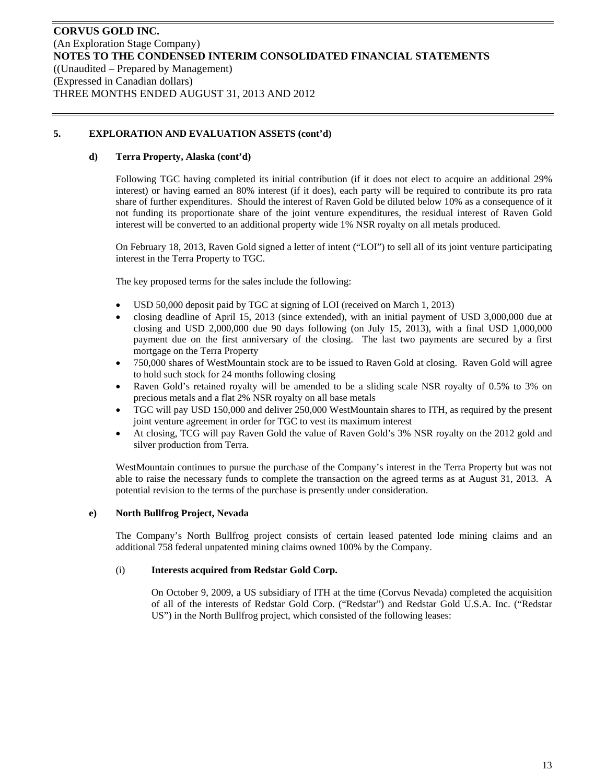#### **d) Terra Property, Alaska (cont'd)**

Following TGC having completed its initial contribution (if it does not elect to acquire an additional 29% interest) or having earned an 80% interest (if it does), each party will be required to contribute its pro rata share of further expenditures. Should the interest of Raven Gold be diluted below 10% as a consequence of it not funding its proportionate share of the joint venture expenditures, the residual interest of Raven Gold interest will be converted to an additional property wide 1% NSR royalty on all metals produced.

On February 18, 2013, Raven Gold signed a letter of intent ("LOI") to sell all of its joint venture participating interest in the Terra Property to TGC.

The key proposed terms for the sales include the following:

- USD 50,000 deposit paid by TGC at signing of LOI (received on March 1, 2013)
- closing deadline of April 15, 2013 (since extended), with an initial payment of USD 3,000,000 due at closing and USD  $2,000,000$  due 90 days following (on July 15, 2013), with a final USD  $1,000,000$ payment due on the first anniversary of the closing. The last two payments are secured by a first mortgage on the Terra Property
- 750,000 shares of WestMountain stock are to be issued to Raven Gold at closing. Raven Gold will agree to hold such stock for 24 months following closing
- Raven Gold's retained royalty will be amended to be a sliding scale NSR royalty of 0.5% to 3% on precious metals and a flat 2% NSR royalty on all base metals
- TGC will pay USD 150,000 and deliver 250,000 WestMountain shares to ITH, as required by the present joint venture agreement in order for TGC to vest its maximum interest
- At closing, TCG will pay Raven Gold the value of Raven Gold's 3% NSR royalty on the 2012 gold and silver production from Terra.

WestMountain continues to pursue the purchase of the Company's interest in the Terra Property but was not able to raise the necessary funds to complete the transaction on the agreed terms as at August 31, 2013. A potential revision to the terms of the purchase is presently under consideration.

#### **e) North Bullfrog Project, Nevada**

The Company's North Bullfrog project consists of certain leased patented lode mining claims and an additional 758 federal unpatented mining claims owned 100% by the Company.

#### (i) **Interests acquired from Redstar Gold Corp.**

On October 9, 2009, a US subsidiary of ITH at the time (Corvus Nevada) completed the acquisition of all of the interests of Redstar Gold Corp. ("Redstar") and Redstar Gold U.S.A. Inc. ("Redstar US") in the North Bullfrog project, which consisted of the following leases: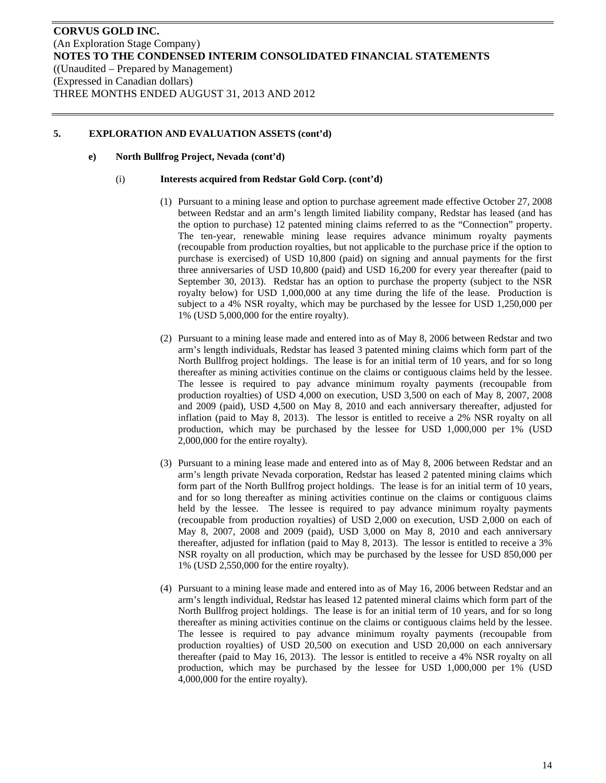#### **e) North Bullfrog Project, Nevada (cont'd)**

#### (i) **Interests acquired from Redstar Gold Corp. (cont'd)**

- (1) Pursuant to a mining lease and option to purchase agreement made effective October 27, 2008 between Redstar and an arm's length limited liability company, Redstar has leased (and has the option to purchase) 12 patented mining claims referred to as the "Connection" property. The ten-year, renewable mining lease requires advance minimum royalty payments (recoupable from production royalties, but not applicable to the purchase price if the option to purchase is exercised) of USD 10,800 (paid) on signing and annual payments for the first three anniversaries of USD 10,800 (paid) and USD 16,200 for every year thereafter (paid to September 30, 2013). Redstar has an option to purchase the property (subject to the NSR royalty below) for USD 1,000,000 at any time during the life of the lease. Production is subject to a 4% NSR royalty, which may be purchased by the lessee for USD 1,250,000 per 1% (USD 5,000,000 for the entire royalty).
- (2) Pursuant to a mining lease made and entered into as of May 8, 2006 between Redstar and two arm's length individuals, Redstar has leased 3 patented mining claims which form part of the North Bullfrog project holdings. The lease is for an initial term of 10 years, and for so long thereafter as mining activities continue on the claims or contiguous claims held by the lessee. The lessee is required to pay advance minimum royalty payments (recoupable from production royalties) of USD 4,000 on execution, USD 3,500 on each of May 8, 2007, 2008 and 2009 (paid), USD 4,500 on May 8, 2010 and each anniversary thereafter, adjusted for inflation (paid to May 8, 2013). The lessor is entitled to receive a 2% NSR royalty on all production, which may be purchased by the lessee for USD 1,000,000 per 1% (USD 2,000,000 for the entire royalty).
- (3) Pursuant to a mining lease made and entered into as of May 8, 2006 between Redstar and an arm's length private Nevada corporation, Redstar has leased 2 patented mining claims which form part of the North Bullfrog project holdings. The lease is for an initial term of 10 years, and for so long thereafter as mining activities continue on the claims or contiguous claims held by the lessee. The lessee is required to pay advance minimum royalty payments (recoupable from production royalties) of USD 2,000 on execution, USD 2,000 on each of May 8, 2007, 2008 and 2009 (paid), USD 3,000 on May 8, 2010 and each anniversary thereafter, adjusted for inflation (paid to May 8, 2013). The lessor is entitled to receive a 3% NSR royalty on all production, which may be purchased by the lessee for USD 850,000 per 1% (USD 2,550,000 for the entire royalty).
- (4) Pursuant to a mining lease made and entered into as of May 16, 2006 between Redstar and an arm's length individual, Redstar has leased 12 patented mineral claims which form part of the North Bullfrog project holdings. The lease is for an initial term of 10 years, and for so long thereafter as mining activities continue on the claims or contiguous claims held by the lessee. The lessee is required to pay advance minimum royalty payments (recoupable from production royalties) of USD 20,500 on execution and USD 20,000 on each anniversary thereafter (paid to May 16, 2013). The lessor is entitled to receive a 4% NSR royalty on all production, which may be purchased by the lessee for USD 1,000,000 per 1% (USD 4,000,000 for the entire royalty).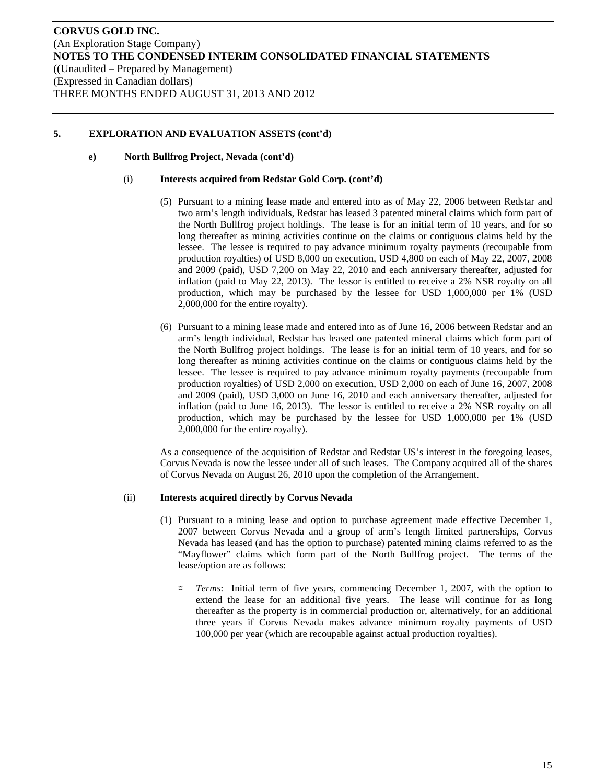#### **e) North Bullfrog Project, Nevada (cont'd)**

#### (i) **Interests acquired from Redstar Gold Corp. (cont'd)**

- (5) Pursuant to a mining lease made and entered into as of May 22, 2006 between Redstar and two arm's length individuals, Redstar has leased 3 patented mineral claims which form part of the North Bullfrog project holdings. The lease is for an initial term of 10 years, and for so long thereafter as mining activities continue on the claims or contiguous claims held by the lessee. The lessee is required to pay advance minimum royalty payments (recoupable from production royalties) of USD 8,000 on execution, USD 4,800 on each of May 22, 2007, 2008 and 2009 (paid), USD 7,200 on May 22, 2010 and each anniversary thereafter, adjusted for inflation (paid to May 22, 2013). The lessor is entitled to receive a 2% NSR royalty on all production, which may be purchased by the lessee for USD 1,000,000 per 1% (USD 2,000,000 for the entire royalty).
- (6) Pursuant to a mining lease made and entered into as of June 16, 2006 between Redstar and an arm's length individual, Redstar has leased one patented mineral claims which form part of the North Bullfrog project holdings. The lease is for an initial term of 10 years, and for so long thereafter as mining activities continue on the claims or contiguous claims held by the lessee. The lessee is required to pay advance minimum royalty payments (recoupable from production royalties) of USD 2,000 on execution, USD 2,000 on each of June 16, 2007, 2008 and 2009 (paid), USD 3,000 on June 16, 2010 and each anniversary thereafter, adjusted for inflation (paid to June 16, 2013). The lessor is entitled to receive a 2% NSR royalty on all production, which may be purchased by the lessee for USD 1,000,000 per 1% (USD 2,000,000 for the entire royalty).

As a consequence of the acquisition of Redstar and Redstar US's interest in the foregoing leases, Corvus Nevada is now the lessee under all of such leases. The Company acquired all of the shares of Corvus Nevada on August 26, 2010 upon the completion of the Arrangement.

#### (ii) **Interests acquired directly by Corvus Nevada**

- (1) Pursuant to a mining lease and option to purchase agreement made effective December 1, 2007 between Corvus Nevada and a group of arm's length limited partnerships, Corvus Nevada has leased (and has the option to purchase) patented mining claims referred to as the "Mayflower" claims which form part of the North Bullfrog project. The terms of the lease/option are as follows:
	- ¤ *Terms*: Initial term of five years, commencing December 1, 2007, with the option to extend the lease for an additional five years. The lease will continue for as long thereafter as the property is in commercial production or, alternatively, for an additional three years if Corvus Nevada makes advance minimum royalty payments of USD 100,000 per year (which are recoupable against actual production royalties).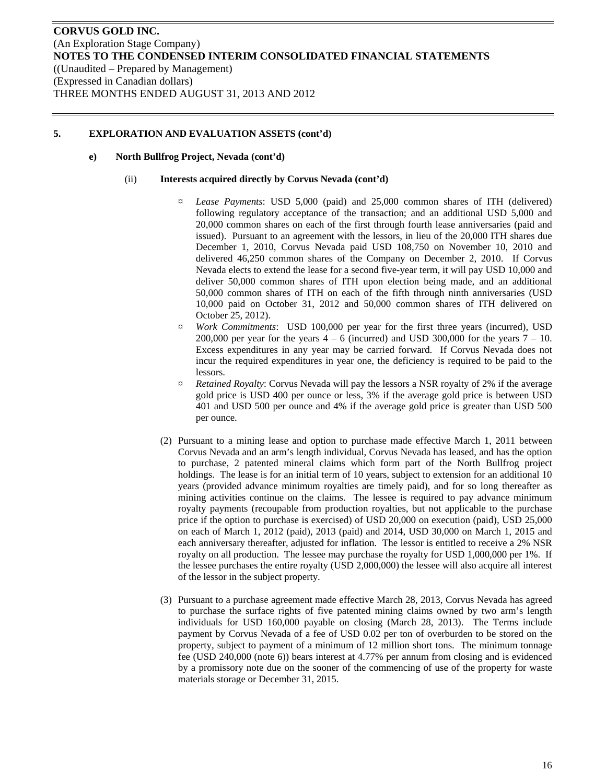#### **e) North Bullfrog Project, Nevada (cont'd)**

#### (ii) **Interests acquired directly by Corvus Nevada (cont'd)**

- ¤ *Lease Payments*: USD 5,000 (paid) and 25,000 common shares of ITH (delivered) following regulatory acceptance of the transaction; and an additional USD 5,000 and 20,000 common shares on each of the first through fourth lease anniversaries (paid and issued). Pursuant to an agreement with the lessors, in lieu of the 20,000 ITH shares due December 1, 2010, Corvus Nevada paid USD 108,750 on November 10, 2010 and delivered 46,250 common shares of the Company on December 2, 2010. If Corvus Nevada elects to extend the lease for a second five-year term, it will pay USD 10,000 and deliver 50,000 common shares of ITH upon election being made, and an additional 50,000 common shares of ITH on each of the fifth through ninth anniversaries (USD 10,000 paid on October 31, 2012 and 50,000 common shares of ITH delivered on October 25, 2012).
- ¤ *Work Commitments*: USD 100,000 per year for the first three years (incurred), USD 200,000 per year for the years  $4 - 6$  (incurred) and USD 300,000 for the years  $7 - 10$ . Excess expenditures in any year may be carried forward. If Corvus Nevada does not incur the required expenditures in year one, the deficiency is required to be paid to the lessors.
- ¤ *Retained Royalty*: Corvus Nevada will pay the lessors a NSR royalty of 2% if the average gold price is USD 400 per ounce or less, 3% if the average gold price is between USD 401 and USD 500 per ounce and 4% if the average gold price is greater than USD 500 per ounce.
- (2) Pursuant to a mining lease and option to purchase made effective March 1, 2011 between Corvus Nevada and an arm's length individual, Corvus Nevada has leased, and has the option to purchase, 2 patented mineral claims which form part of the North Bullfrog project holdings. The lease is for an initial term of 10 years, subject to extension for an additional 10 years (provided advance minimum royalties are timely paid), and for so long thereafter as mining activities continue on the claims. The lessee is required to pay advance minimum royalty payments (recoupable from production royalties, but not applicable to the purchase price if the option to purchase is exercised) of USD 20,000 on execution (paid), USD 25,000 on each of March 1, 2012 (paid), 2013 (paid) and 2014, USD 30,000 on March 1, 2015 and each anniversary thereafter, adjusted for inflation. The lessor is entitled to receive a 2% NSR royalty on all production. The lessee may purchase the royalty for USD 1,000,000 per 1%. If the lessee purchases the entire royalty (USD 2,000,000) the lessee will also acquire all interest of the lessor in the subject property.
- (3) Pursuant to a purchase agreement made effective March 28, 2013, Corvus Nevada has agreed to purchase the surface rights of five patented mining claims owned by two arm's length individuals for USD 160,000 payable on closing (March 28, 2013). The Terms include payment by Corvus Nevada of a fee of USD 0.02 per ton of overburden to be stored on the property, subject to payment of a minimum of 12 million short tons. The minimum tonnage fee (USD 240,000 (note 6)) bears interest at 4.77% per annum from closing and is evidenced by a promissory note due on the sooner of the commencing of use of the property for waste materials storage or December 31, 2015.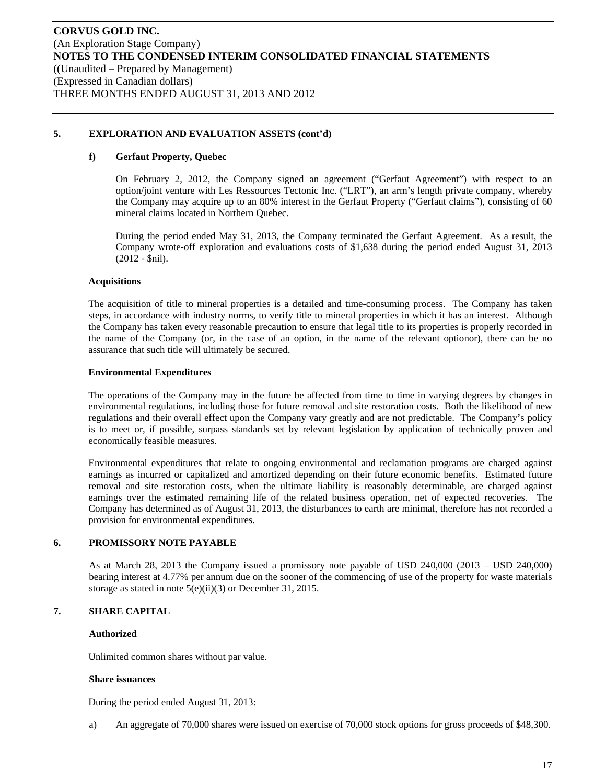#### **f) Gerfaut Property, Quebec**

On February 2, 2012, the Company signed an agreement ("Gerfaut Agreement") with respect to an option/joint venture with Les Ressources Tectonic Inc. ("LRT"), an arm's length private company, whereby the Company may acquire up to an 80% interest in the Gerfaut Property ("Gerfaut claims"), consisting of 60 mineral claims located in Northern Quebec.

During the period ended May 31, 2013, the Company terminated the Gerfaut Agreement. As a result, the Company wrote-off exploration and evaluations costs of \$1,638 during the period ended August 31, 2013 (2012 - \$nil).

#### **Acquisitions**

The acquisition of title to mineral properties is a detailed and time-consuming process. The Company has taken steps, in accordance with industry norms, to verify title to mineral properties in which it has an interest. Although the Company has taken every reasonable precaution to ensure that legal title to its properties is properly recorded in the name of the Company (or, in the case of an option, in the name of the relevant optionor), there can be no assurance that such title will ultimately be secured.

#### **Environmental Expenditures**

The operations of the Company may in the future be affected from time to time in varying degrees by changes in environmental regulations, including those for future removal and site restoration costs. Both the likelihood of new regulations and their overall effect upon the Company vary greatly and are not predictable. The Company's policy is to meet or, if possible, surpass standards set by relevant legislation by application of technically proven and economically feasible measures.

Environmental expenditures that relate to ongoing environmental and reclamation programs are charged against earnings as incurred or capitalized and amortized depending on their future economic benefits. Estimated future removal and site restoration costs, when the ultimate liability is reasonably determinable, are charged against earnings over the estimated remaining life of the related business operation, net of expected recoveries. The Company has determined as of August 31, 2013, the disturbances to earth are minimal, therefore has not recorded a provision for environmental expenditures.

#### **6. PROMISSORY NOTE PAYABLE**

As at March 28, 2013 the Company issued a promissory note payable of USD 240,000 (2013 – USD 240,000) bearing interest at 4.77% per annum due on the sooner of the commencing of use of the property for waste materials storage as stated in note 5(e)(ii)(3) or December 31, 2015.

#### **7. SHARE CAPITAL**

#### **Authorized**

Unlimited common shares without par value.

#### **Share issuances**

During the period ended August 31, 2013:

a) An aggregate of 70,000 shares were issued on exercise of 70,000 stock options for gross proceeds of \$48,300.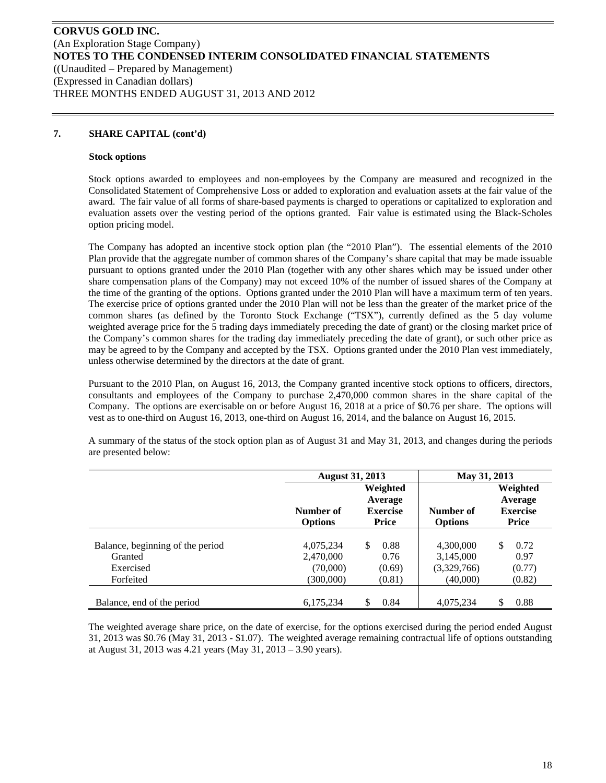### **7. SHARE CAPITAL (cont'd)**

#### **Stock options**

Stock options awarded to employees and non-employees by the Company are measured and recognized in the Consolidated Statement of Comprehensive Loss or added to exploration and evaluation assets at the fair value of the award. The fair value of all forms of share-based payments is charged to operations or capitalized to exploration and evaluation assets over the vesting period of the options granted. Fair value is estimated using the Black-Scholes option pricing model.

The Company has adopted an incentive stock option plan (the "2010 Plan"). The essential elements of the 2010 Plan provide that the aggregate number of common shares of the Company's share capital that may be made issuable pursuant to options granted under the 2010 Plan (together with any other shares which may be issued under other share compensation plans of the Company) may not exceed 10% of the number of issued shares of the Company at the time of the granting of the options. Options granted under the 2010 Plan will have a maximum term of ten years. The exercise price of options granted under the 2010 Plan will not be less than the greater of the market price of the common shares (as defined by the Toronto Stock Exchange ("TSX"), currently defined as the 5 day volume weighted average price for the 5 trading days immediately preceding the date of grant) or the closing market price of the Company's common shares for the trading day immediately preceding the date of grant), or such other price as may be agreed to by the Company and accepted by the TSX. Options granted under the 2010 Plan vest immediately, unless otherwise determined by the directors at the date of grant.

Pursuant to the 2010 Plan, on August 16, 2013, the Company granted incentive stock options to officers, directors, consultants and employees of the Company to purchase 2,470,000 common shares in the share capital of the Company. The options are exercisable on or before August 16, 2018 at a price of \$0.76 per share. The options will vest as to one-third on August 16, 2013, one-third on August 16, 2014, and the balance on August 16, 2015.

A summary of the status of the stock option plan as of August 31 and May 31, 2013, and changes during the periods are presented below:

|                                  | <b>August 31, 2013</b> |                 | May 31, 2013   |                 |
|----------------------------------|------------------------|-----------------|----------------|-----------------|
|                                  |                        | Weighted        |                | Weighted        |
|                                  |                        | Average         |                | Average         |
|                                  | Number of              | <b>Exercise</b> | Number of      | <b>Exercise</b> |
|                                  | <b>Options</b>         | Price           | <b>Options</b> | <b>Price</b>    |
| Balance, beginning of the period | 4,075,234              | \$.<br>0.88     | 4,300,000      | \$<br>0.72      |
| Granted                          | 2,470,000              | 0.76            | 3,145,000      | 0.97            |
| Exercised                        | (70,000)               | (0.69)          | (3,329,766)    | (0.77)          |
| Forfeited                        | (300,000)              | (0.81)          | (40,000)       | (0.82)          |
|                                  |                        |                 |                |                 |
| Balance, end of the period       | 6,175,234              | S<br>0.84       | 4,075,234      | \$<br>0.88      |

The weighted average share price, on the date of exercise, for the options exercised during the period ended August 31, 2013 was \$0.76 (May 31, 2013 - \$1.07). The weighted average remaining contractual life of options outstanding at August 31, 2013 was 4.21 years (May 31, 2013 – 3.90 years).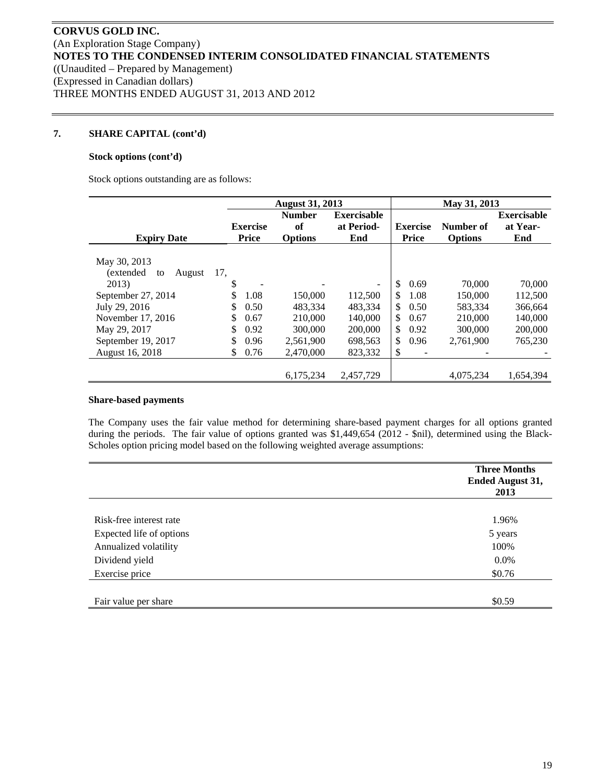#### **7. SHARE CAPITAL (cont'd)**

#### **Stock options (cont'd)**

Stock options outstanding are as follows:

|                           |                 | <b>August 31, 2013</b> |                          |                 | May 31, 2013   |                    |
|---------------------------|-----------------|------------------------|--------------------------|-----------------|----------------|--------------------|
|                           |                 | <b>Number</b>          | <b>Exercisable</b>       |                 |                | <b>Exercisable</b> |
|                           | <b>Exercise</b> | of                     | at Period-               | <b>Exercise</b> | Number of      | at Year-           |
| <b>Expiry Date</b>        | Price           | <b>Options</b>         | End                      | Price           | <b>Options</b> | End                |
|                           |                 |                        |                          |                 |                |                    |
| May 30, 2013              |                 |                        |                          |                 |                |                    |
| (extended<br>to<br>August | 17,             |                        |                          |                 |                |                    |
| 2013)                     | \$              |                        | $\overline{\phantom{a}}$ | \$<br>0.69      | 70,000         | 70,000             |
| September 27, 2014        | \$<br>1.08      | 150,000                | 112,500                  | 1.08<br>\$      | 150,000        | 112,500            |
| July 29, 2016             | \$<br>0.50      | 483.334                | 483.334                  | \$<br>0.50      | 583,334        | 366,664            |
| November 17, 2016         | \$<br>0.67      | 210,000                | 140,000                  | \$<br>0.67      | 210,000        | 140,000            |
| May 29, 2017              | \$<br>0.92      | 300,000                | 200,000                  | \$<br>0.92      | 300,000        | 200,000            |
| September 19, 2017        | \$<br>0.96      | 2,561,900              | 698,563                  | \$<br>0.96      | 2,761,900      | 765,230            |
| August 16, 2018           | \$<br>0.76      | 2,470,000              | 823,332                  | \$              |                |                    |
|                           |                 |                        |                          |                 |                |                    |
|                           |                 | 6,175,234              | 2,457,729                |                 | 4.075.234      | 1,654,394          |

#### **Share-based payments**

The Company uses the fair value method for determining share-based payment charges for all options granted during the periods. The fair value of options granted was \$1,449,654 (2012 - \$nil), determined using the Black-Scholes option pricing model based on the following weighted average assumptions:

|                          | <b>Three Months</b><br>Ended August 31,<br>2013 |
|--------------------------|-------------------------------------------------|
|                          |                                                 |
| Risk-free interest rate  | 1.96%                                           |
| Expected life of options | 5 years                                         |
| Annualized volatility    | 100%                                            |
| Dividend yield           | 0.0%                                            |
| Exercise price           | \$0.76                                          |
|                          |                                                 |
| Fair value per share     | \$0.59                                          |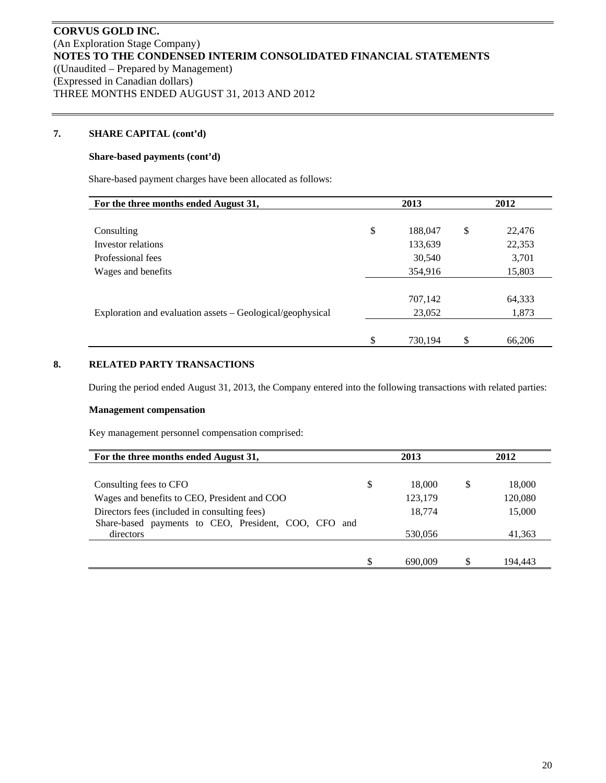### **7. SHARE CAPITAL (cont'd)**

#### **Share-based payments (cont'd)**

Share-based payment charges have been allocated as follows:

| For the three months ended August 31,                      | 2013          | 2012         |  |  |  |
|------------------------------------------------------------|---------------|--------------|--|--|--|
|                                                            |               |              |  |  |  |
| Consulting                                                 | \$<br>188,047 | \$<br>22,476 |  |  |  |
| Investor relations                                         | 133,639       | 22,353       |  |  |  |
| Professional fees                                          | 30,540        | 3,701        |  |  |  |
| Wages and benefits                                         | 354,916       | 15,803       |  |  |  |
|                                                            |               |              |  |  |  |
|                                                            | 707,142       | 64,333       |  |  |  |
| Exploration and evaluation assets – Geological/geophysical | 23,052        | 1,873        |  |  |  |
|                                                            |               |              |  |  |  |
|                                                            | \$<br>730,194 | \$<br>66,206 |  |  |  |

# **8. RELATED PARTY TRANSACTIONS**

During the period ended August 31, 2013, the Company entered into the following transactions with related parties:

#### **Management compensation**

Key management personnel compensation comprised:

| For the three months ended August 31,                   |   | 2013    |   | 2012    |  |
|---------------------------------------------------------|---|---------|---|---------|--|
|                                                         |   |         |   |         |  |
| Consulting fees to CFO                                  | S | 18,000  | S | 18,000  |  |
| Wages and benefits to CEO, President and COO            |   | 123,179 |   | 120,080 |  |
| Directors fees (included in consulting fees)            |   | 18,774  |   | 15,000  |  |
| Share-based payments to CEO, President, COO, CFO<br>and |   |         |   |         |  |
| directors                                               |   | 530,056 |   | 41,363  |  |
|                                                         |   |         |   |         |  |
|                                                         |   | 690,009 |   | 194.443 |  |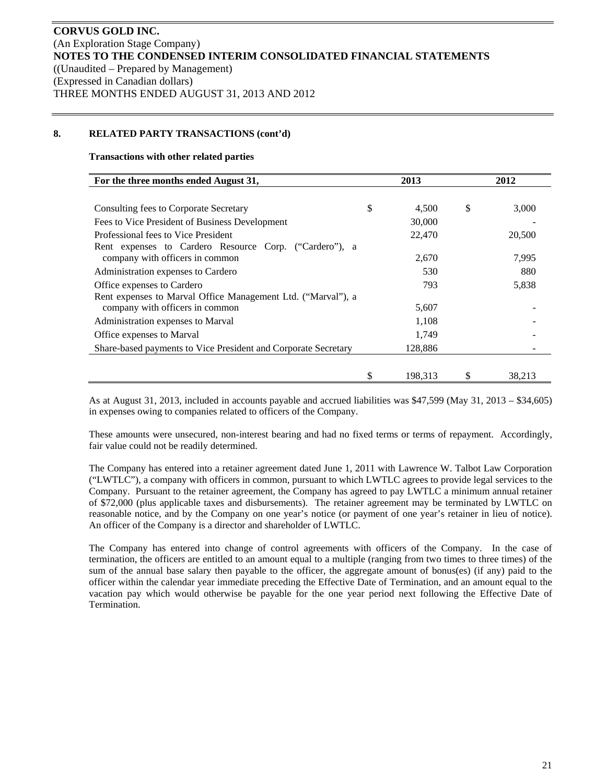#### **8. RELATED PARTY TRANSACTIONS (cont'd)**

#### **Transactions with other related parties**

| For the three months ended August 31,                          |    | 2013    |    | 2012   |  |
|----------------------------------------------------------------|----|---------|----|--------|--|
|                                                                |    |         |    |        |  |
| Consulting fees to Corporate Secretary                         | \$ | 4,500   | \$ | 3,000  |  |
| Fees to Vice President of Business Development                 |    | 30,000  |    |        |  |
| Professional fees to Vice President                            |    | 22,470  |    | 20,500 |  |
| Rent expenses to Cardero Resource Corp. ("Cardero"), a         |    |         |    |        |  |
| company with officers in common                                |    | 2,670   |    | 7,995  |  |
| Administration expenses to Cardero                             |    | 530     |    | 880    |  |
| Office expenses to Cardero                                     |    | 793     |    | 5,838  |  |
| Rent expenses to Marval Office Management Ltd. ("Marval"), a   |    |         |    |        |  |
| company with officers in common                                |    | 5,607   |    |        |  |
| Administration expenses to Marval                              |    | 1,108   |    |        |  |
| Office expenses to Marval                                      |    | 1,749   |    |        |  |
| Share-based payments to Vice President and Corporate Secretary |    | 128,886 |    |        |  |
|                                                                |    |         |    |        |  |
|                                                                |    | 198.313 |    | 38,213 |  |

As at August 31, 2013, included in accounts payable and accrued liabilities was \$47,599 (May 31, 2013 – \$34,605) in expenses owing to companies related to officers of the Company.

These amounts were unsecured, non-interest bearing and had no fixed terms or terms of repayment. Accordingly, fair value could not be readily determined.

The Company has entered into a retainer agreement dated June 1, 2011 with Lawrence W. Talbot Law Corporation ("LWTLC"), a company with officers in common, pursuant to which LWTLC agrees to provide legal services to the Company. Pursuant to the retainer agreement, the Company has agreed to pay LWTLC a minimum annual retainer of \$72,000 (plus applicable taxes and disbursements). The retainer agreement may be terminated by LWTLC on reasonable notice, and by the Company on one year's notice (or payment of one year's retainer in lieu of notice). An officer of the Company is a director and shareholder of LWTLC.

The Company has entered into change of control agreements with officers of the Company. In the case of termination, the officers are entitled to an amount equal to a multiple (ranging from two times to three times) of the sum of the annual base salary then payable to the officer, the aggregate amount of bonus(es) (if any) paid to the officer within the calendar year immediate preceding the Effective Date of Termination, and an amount equal to the vacation pay which would otherwise be payable for the one year period next following the Effective Date of Termination.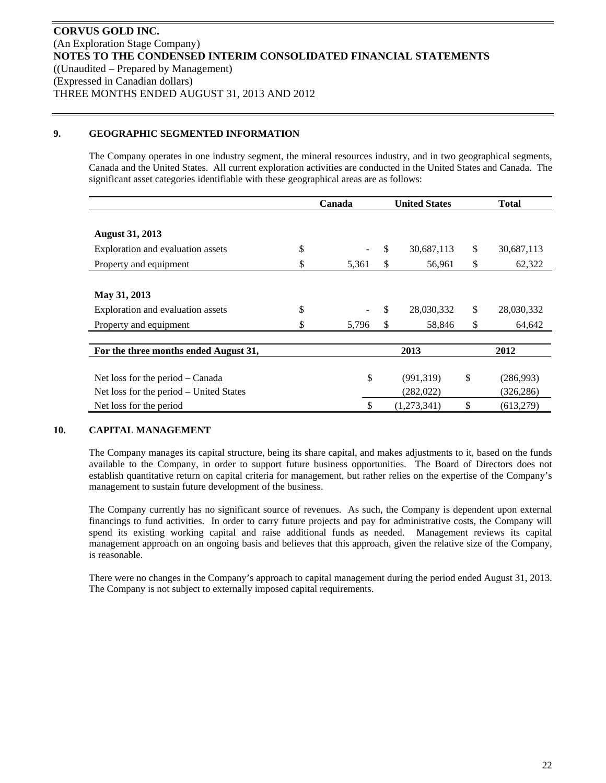#### **9. GEOGRAPHIC SEGMENTED INFORMATION**

The Company operates in one industry segment, the mineral resources industry, and in two geographical segments, Canada and the United States. All current exploration activities are conducted in the United States and Canada. The significant asset categories identifiable with these geographical areas are as follows:

|                                         | Canada |       |    | <b>United States</b> |    | <b>Total</b> |  |
|-----------------------------------------|--------|-------|----|----------------------|----|--------------|--|
|                                         |        |       |    |                      |    |              |  |
| <b>August 31, 2013</b>                  |        |       |    |                      |    |              |  |
| Exploration and evaluation assets       | \$     |       | \$ | 30,687,113           | \$ | 30,687,113   |  |
| Property and equipment                  | \$     | 5,361 | \$ | 56,961               | \$ | 62,322       |  |
|                                         |        |       |    |                      |    |              |  |
| May 31, 2013                            |        |       |    |                      |    |              |  |
| Exploration and evaluation assets       | \$     |       | \$ | 28,030,332           | \$ | 28,030,332   |  |
| Property and equipment                  | \$     | 5,796 | \$ | 58,846               | \$ | 64,642       |  |
|                                         |        |       |    |                      |    |              |  |
| For the three months ended August 31,   |        | 2013  |    | 2012                 |    |              |  |
|                                         |        |       |    |                      |    |              |  |
| Net loss for the period $-$ Canada      |        | \$    |    | (991, 319)           | \$ | (286,993)    |  |
| Net loss for the period – United States |        |       |    | (282, 022)           |    | (326, 286)   |  |
| Net loss for the period                 |        | \$    |    | (1,273,341)          | \$ | (613,279)    |  |

#### **10. CAPITAL MANAGEMENT**

The Company manages its capital structure, being its share capital, and makes adjustments to it, based on the funds available to the Company, in order to support future business opportunities. The Board of Directors does not establish quantitative return on capital criteria for management, but rather relies on the expertise of the Company's management to sustain future development of the business.

The Company currently has no significant source of revenues. As such, the Company is dependent upon external financings to fund activities. In order to carry future projects and pay for administrative costs, the Company will spend its existing working capital and raise additional funds as needed. Management reviews its capital management approach on an ongoing basis and believes that this approach, given the relative size of the Company, is reasonable.

There were no changes in the Company's approach to capital management during the period ended August 31, 2013. The Company is not subject to externally imposed capital requirements.